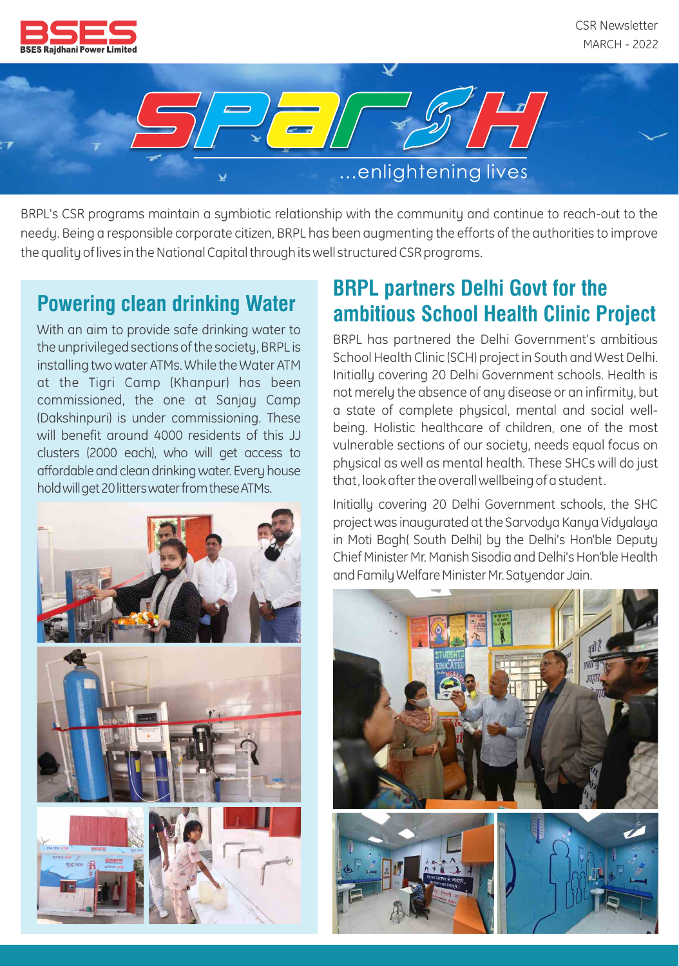



BRPL's CSR programs maintain a symbiotic relationship with the community and continue to reach-out to the needy. Being a responsible corporate citizen, BRPL has been augmenting the efforts of the authorities to improve the quality of lives in the National Capital through its well structured CSR programs.

With an aim to provide safe drinking water to the unprivileged sections of the society, BRPL is installing two water ATMs. While the Water ATM at the Tigri Camp (Khanpur) has been commissioned, the one at Sanjay Camp (Dakshinpuri) is under commissioning. These will benefit around 4000 residents of this JJ clusters (2000 each), who will get access to affordable and clean drinkingwater. Every house hold will get 20 litters water from these ATMs.



## **Powering clean drinking Water BRPL partners Delhi Govt for the ambitious School Health Clinic Project**

BRPL has partnered the Delhi Government's ambitious School Health Clinic (SCH) project in South and West Delhi. Initially covering 20 Delhi Government schools. Health is not merely the absence of any disease or an infirmity, but a state of complete physical, mental and social wellbeing. Holistic healthcare of children, one of the most vulnerable sections of our society, needs equal focus on physical as well as mental health. These SHCs will do just that, look after the overall wellbeing of a student.

Initially covering 20 Delhi Government schools, the SHC project was inaugurated atthe Sarvodya Kanya Vidyalaya in Moti Bagh( South Delhi) by the Delhi's Hon'ble Deputy Chief Minister Mr. Manish Sisodia and Delhi's Hon'ble Health and Family Welfare Minister Mr. Satyendar Jain.

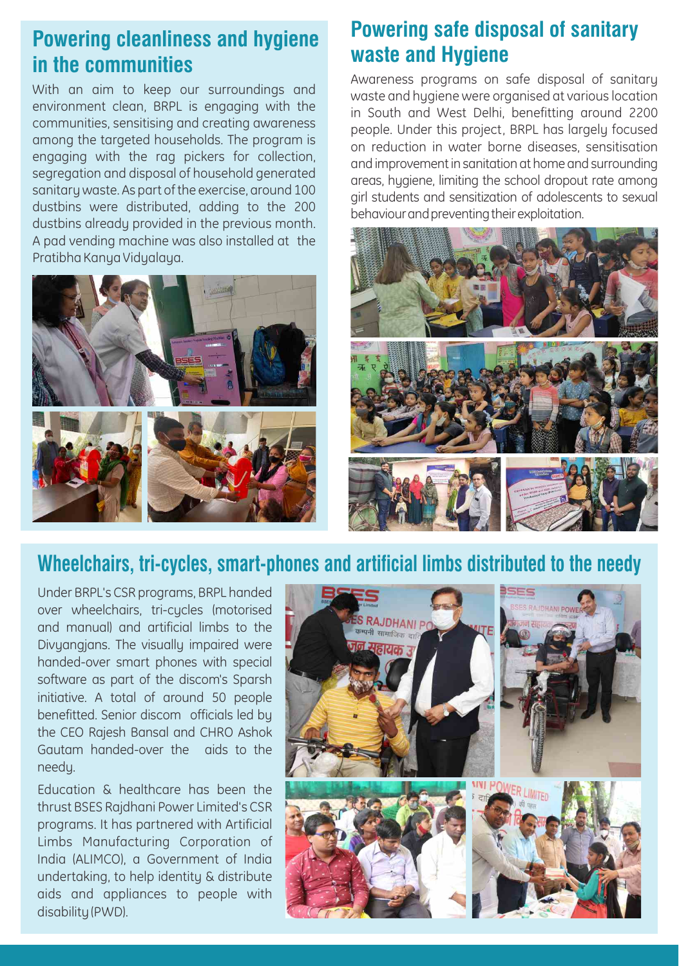# **Powering cleanliness and hygiene in the communities**

With an aim to keep our surroundings and environment clean, BRPL is engaging with the communities, sensitising and creating awareness among the targeted households. The program is engaging with the rag pickers for collection, segregation and disposal of household generated sanitary waste. As part of the exercise, around 100 dustbins were distributed, adding to the 200 dustbins already provided in the previous month. A pad vending machine was also installed at the Pratibha Kanya Vidyalaya.



#### **Powering safe disposal of sanitary waste and Hygiene**

Awareness programs on safe disposal of sanitary waste and hygiene were organised at various location in South and West Delhi, benefitting around 2200 people. Under this project, BRPL has largely focused on reduction in water borne diseases, sensitisation and improvementin sanitation at home and surrounding areas, hygiene, limiting the school dropout rate among girl students and sensitization of adolescents to sexual behaviour and preventing their exploitation.



#### **Wheelchairs, tri-cycles, smart-phones and artificial limbs distributed to the needy**

Under BRPL's CSR programs, BRPL handed over wheelchairs, tri-cycles (motorised and manual) and artificial limbs to the Divyangjans. The visually impaired were handed-over smart phones with special software as part of the discom's Sparsh initiative. A total of around 50 people benefitted. Senior discom officials led by the CEO Rajesh Bansal and CHRO Ashok Gautam handed-over the aids to the needy.

Education & healthcare has been the thrust BSES Rajdhani Power Limited's CSR programs. It has partnered with Artificial Limbs Manufacturing Corporation of India (ALIMCO), a Government of India undertaking, to help identity & distribute aids and appliances to people with disability (PWD).

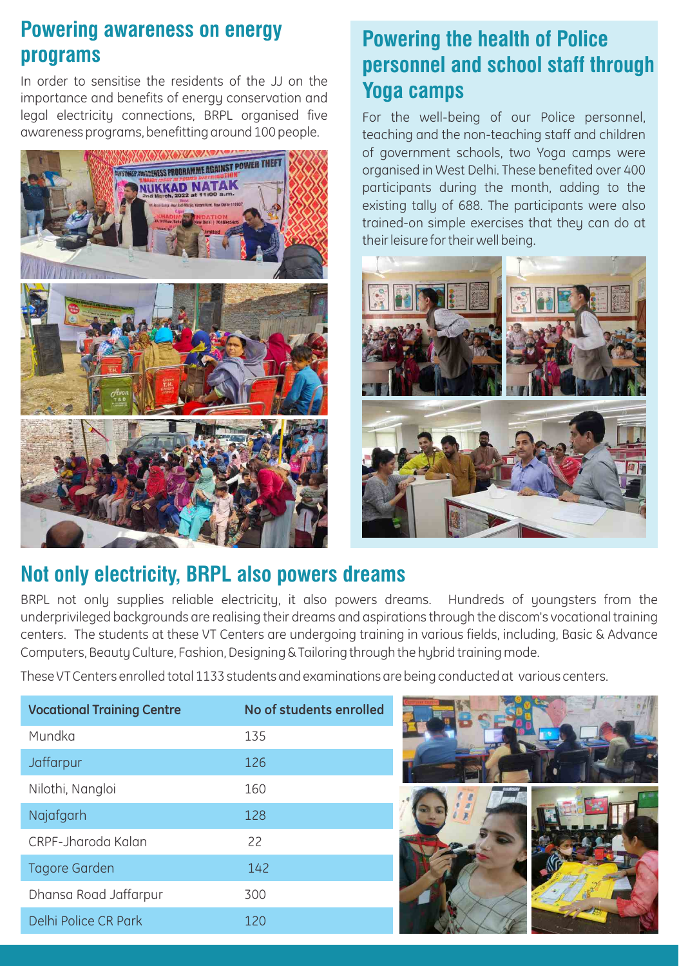## **Powering awareness on energy programs**

In order to sensitise the residents of the JJ on the importance and benefits of energy conservation and legal electricity connections, BRPL organised five awareness programs, benefitting around 100 people.



# **Powering the health of Police personnel and school staff through Yoga camps**

For the well-being of our Police personnel, teaching and the non-teaching staff and children of government schools, two Yoga camps were organised in West Delhi. These benefited over 400 participants during the month, adding to the existing tally of 688. The participants were also trained-on simple exercises that they can do at their leisure for their well being.



## **Not only electricity, BRPL also powers dreams**

BRPL not only supplies reliable electricity, it also powers dreams. Hundreds of youngsters from the underprivileged backgrounds are realising their dreams and aspirations through the discom's vocational training centers. The students at these VT Centers are undergoing training in various fields, including, Basic & Advance Computers, Beauty Culture, Fashion, Designing & Tailoring through the hybrid training mode.

These VT Centers enrolled total 1133 students and examinations are being conducted at various centers.

| <b>Vocational Training Centre</b> | No of students enrolled |
|-----------------------------------|-------------------------|
| Mundka                            | 135                     |
| Jaffarpur                         | 126                     |
| Nilothi, Nangloi                  | 160                     |
| Najafgarh                         | 128                     |
| CRPF-Jharoda Kalan                | 22                      |
| <b>Tagore Garden</b>              | 142                     |
| Dhansa Road Jaffarpur             | 300                     |
| Delhi Police CR Park              | 120                     |

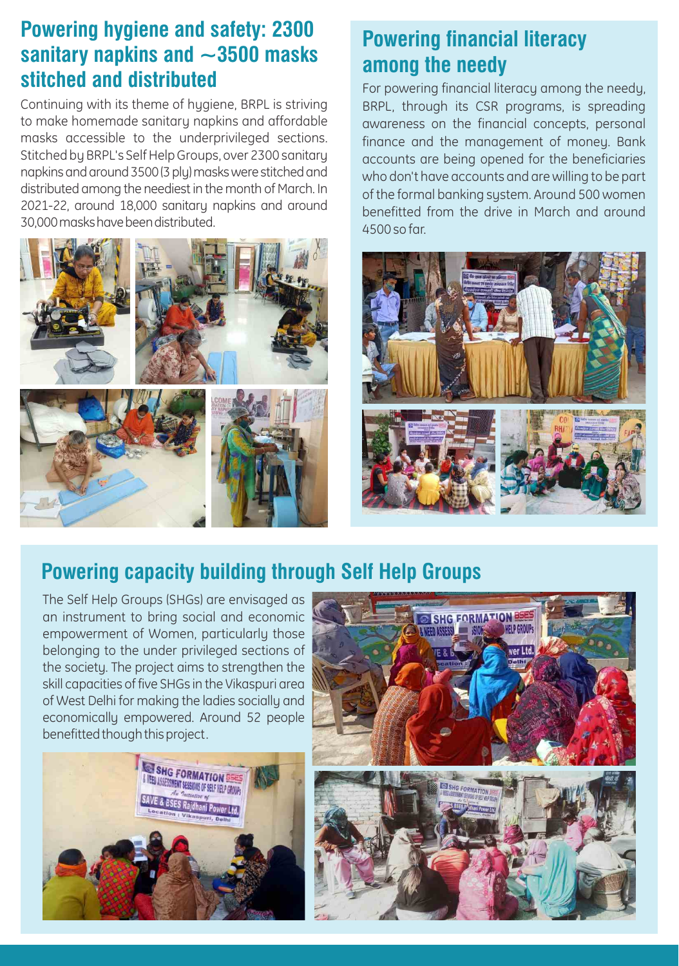#### **Powering hygiene and safety: 2300 sanitary napkins and ~3500 masks stitched and distributed**

Continuing with its theme of hygiene, BRPL is striving to make homemade sanitary napkins and affordable masks accessible to the underprivileged sections. Stitched by BRPL's Self Help Groups, over 2300 sanitary napkins and around 3500 (3 ply) masks were stitched and distributed among the neediest in the month of March. In 2021-22, around 18,000 sanitary napkins and around 30,000maskshavebeendistributed.



# **Powering financial literacy among the needy**

For powering financial literacy among the needy, BRPL, through its CSR programs, is spreading awareness on the financial concepts, personal finance and the management of money. Bank accounts are being opened for the beneficiaries who don't have accounts and are willing to be part of the formal banking system. Around 500 women benefitted from the drive in March and around 4500 so far.



# **Powering capacity building through Self Help Groups**

The Self Help Groups (SHGs) are envisaged as an instrument to bring social and economic empowerment of Women, particularly those belonging to the under privileged sections of the society. The project aims to strengthen the skill capacities of five SHGs in the Vikaspuri area of West Delhi for making the ladies socially and economically empowered. Around 52 people benefitted though this project.